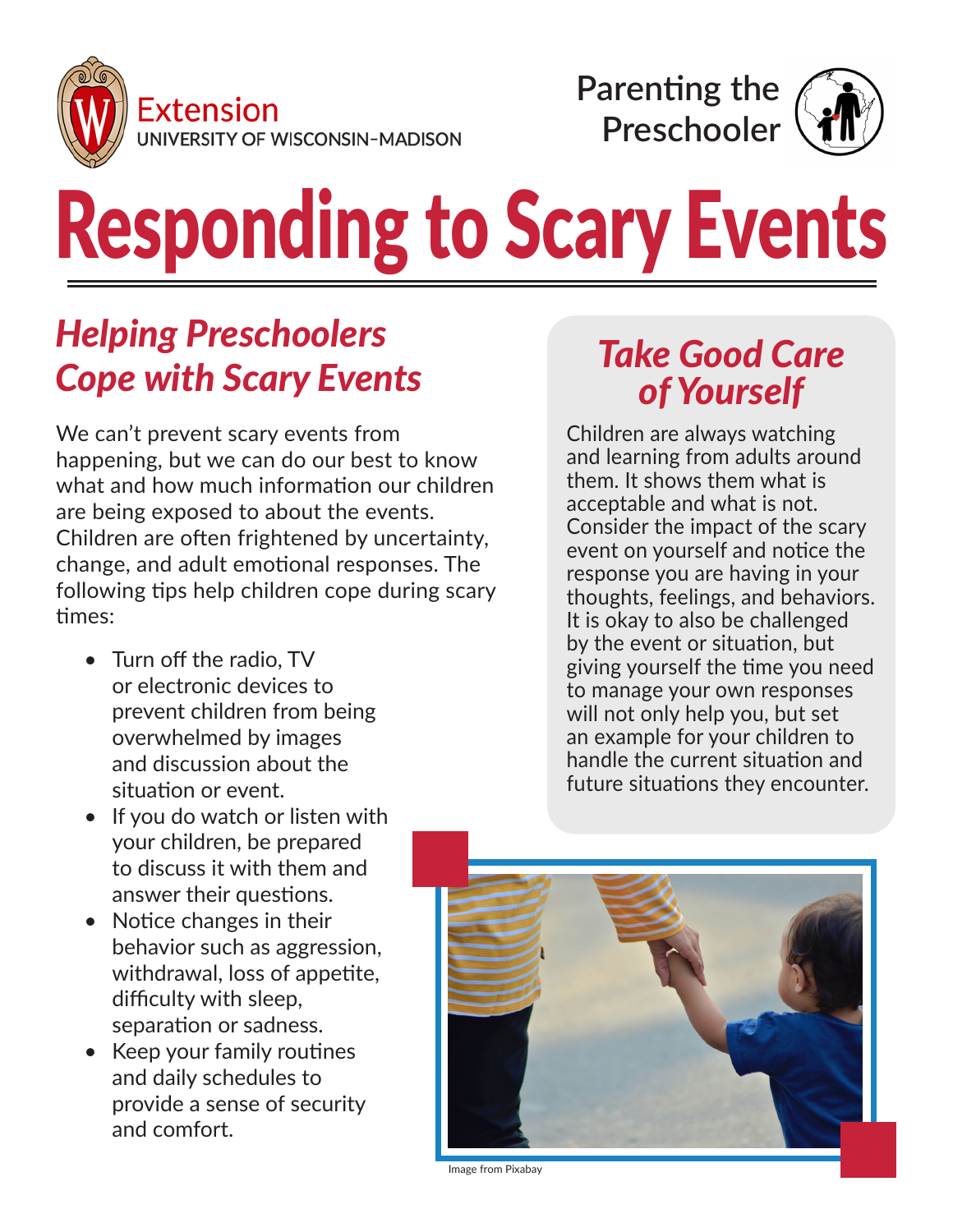



# Responding to Scary Events

## *Helping Preschoolers Cope with Scary Events*

We can't prevent scary events from happening, but we can do our best to know what and how much information our children are being exposed to about the events. Children are often frightened by uncertainty, change, and adult emotional responses. The following tips help children cope during scary times:

- Turn off the radio, TV or electronic devices to prevent children from being overwhelmed by images and discussion about the situation or event.
- If you do watch or listen with your children, be prepared to discuss it with them and answer their questions.
- Notice changes in their behavior such as aggression, withdrawal, loss of appetite, difficulty with sleep, separation or sadness.
- Keep your family routines and daily schedules to provide a sense of security and comfort.

#### *Take Good Care of Yourself*

Children are always watching and learning from adults around them. It shows them what is acceptable and what is not. Consider the impact of the scary event on yourself and notice the response you are having in your thoughts, feelings, and behaviors. It is okay to also be challenged by the event or situation, but giving yourself the time you need to manage your own responses will not only help you, but set an example for your children to handle the current situation and future situations they encounter.



Image from Pixabay